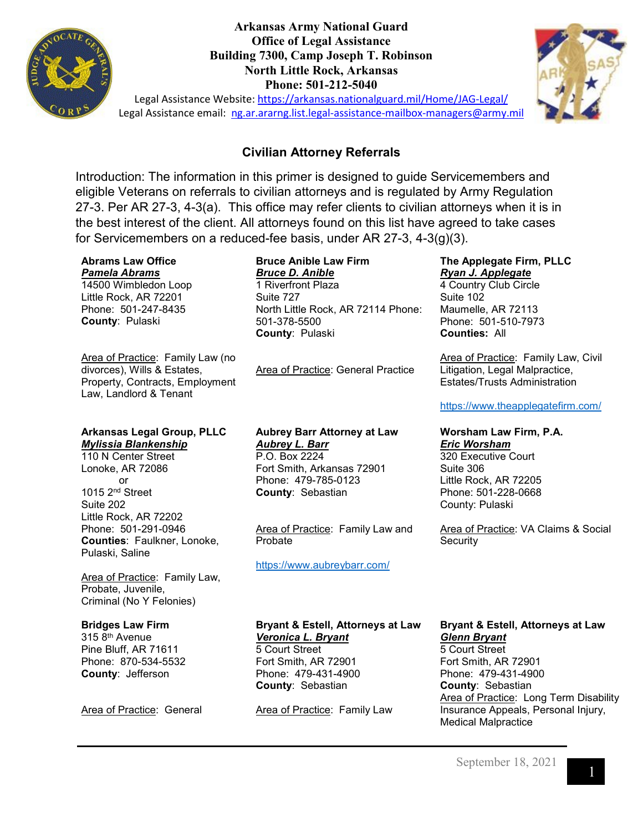

**Arkansas Army National Guard Office of Legal Assistance Building 7300, Camp Joseph T. Robinson North Little Rock, Arkansas Phone: 501-212-5040**



Legal Assistance Website:<https://arkansas.nationalguard.mil/Home/JAG-Legal/> Legal Assistance email: [ng.ar.ararng.list.legal-assistance-mailbox-managers@army.mil](mailto:ng.ar.ararng.list.legal-assistance-mailbox-managers@army.mil)

# **Civilian Attorney Referrals**

Introduction: The information in this primer is designed to guide Servicemembers and eligible Veterans on referrals to civilian attorneys and is regulated by Army Regulation 27-3. Per AR 27-3, 4-3(a). This office may refer clients to civilian attorneys when it is in the best interest of the client. All attorneys found on this list have agreed to take cases for Servicemembers on a reduced-fee basis, under AR 27-3, 4-3(g)(3).

#### **Abrams Law Office** *Pamela Abrams*

14500 Wimbledon Loop Little Rock, AR 72201 Phone: 501-247-8435 **County**: Pulaski

Area of Practice: Family Law (no divorces), Wills & Estates, Property, Contracts, Employment Law, Landlord & Tenant

# **Arkansas Legal Group, PLLC** *Mylissia Blankenship*

110 N Center Street Lonoke, AR 72086 or 1015 2nd Street Suite 202 Little Rock, AR 72202 Phone: 501-291-0946 **Counties**: Faulkner, Lonoke, Pulaski, Saline

Area of Practice: Family Law, Probate, Juvenile, Criminal (No Y Felonies)

# **Bridges Law Firm**

315 8th Avenue Pine Bluff, AR 71611 Phone: 870-534-5532 **County**: Jefferson

Area of Practice: General

### **Bruce Anible Law Firm**  *Bruce D. Anible*  1 Riverfront Plaza Suite 727 North Little Rock, AR 72114 Phone: 501-378-5500 **County**: Pulaski

Area of Practice: General Practice

#### **Aubrey Barr Attorney at Law** *Aubrey L. Barr* P.O. Box 2224 Fort Smith, Arkansas 72901 Phone: 479-785-0123

**County**: Sebastian

Area of Practice: Family Law and Probate

<https://www.aubreybarr.com/>

### **The Applegate Firm, PLLC** *Ryan J. Applegate*

4 Country Club Circle Suite 102 Maumelle, AR 72113 Phone: 501-510-7973 **Counties:** All

Area of Practice: Family Law, Civil Litigation, Legal Malpractice, Estates/Trusts Administration

# <https://www.theapplegatefirm.com/>

# **Worsham Law Firm, P.A.** *Eric Worsham*

320 Executive Court Suite 306 Little Rock, AR 72205 Phone: 501-228-0668 County: Pulaski

Area of Practice: VA Claims & Social **Security** 

**Bryant & Estell, Attorneys at Law** *Veronica L. Bryant* 5 Court Street Fort Smith, AR 72901 Phone: 479-431-4900 **County**: Sebastian

Area of Practice: Family Law

### **Bryant & Estell, Attorneys at Law** *Glenn Bryant* 5 Court Street Fort Smith, AR 72901 Phone: 479-431-4900 **County**: Sebastian Area of Practice: Long Term Disability Insurance Appeals, Personal Injury, Medical Malpractice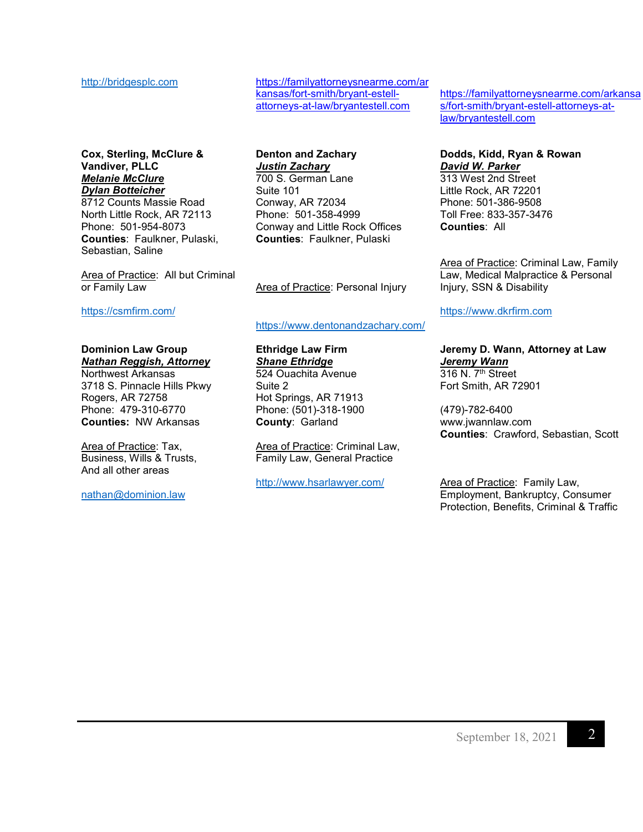[http://bridgesplc.com](http://bridgesplc.com/) [https://familyattorneysnearme.com/ar](https://familyattorneysnearme.com/arkansas/fort-smith/bryant-estell-attorneys-at-law/bryantestell.com) [kansas/fort-smith/bryant-estell](https://familyattorneysnearme.com/arkansas/fort-smith/bryant-estell-attorneys-at-law/bryantestell.com)[attorneys-at-law/bryantestell.com](https://familyattorneysnearme.com/arkansas/fort-smith/bryant-estell-attorneys-at-law/bryantestell.com)

#### **Cox, Sterling, McClure & Vandiver, PLLC** *Melanie McClure Dylan Botteicher*

8712 Counts Massie Road North Little Rock, AR 72113 Phone: 501-954-8073 **Counties**: Faulkner, Pulaski, Sebastian, Saline

Area of Practice: All but Criminal or Family Law

<https://csmfirm.com/>

# **Dominion Law Group** *Nathan Reggish, Attorney*

Northwest Arkansas 3718 S. Pinnacle Hills Pkwy Rogers, AR 72758 Phone: 479-310-6770 **Counties:** NW Arkansas

Area of Practice: Tax, Business, Wills & Trusts, And all other areas

[nathan@dominion.law](mailto:nathan@dominion.law)

#### **Denton and Zachary** *Justin Zachary*

700 S. German Lane Suite 101 Conway, AR 72034 Phone: 501-358-4999 Conway and Little Rock Offices **Counties**: Faulkner, Pulaski

Area of Practice: Personal Injury

#### <https://www.dentonandzachary.com/>

# **Ethridge Law Firm** *Shane Ethridge*

524 Ouachita Avenue Suite 2 Hot Springs, AR 71913 Phone: (501)-318-1900 **County**: Garland

Area of Practice: Criminal Law, Family Law, General Practice

<http://www.hsarlawyer.com/>

[https://familyattorneysnearme.com/arkansa](https://familyattorneysnearme.com/arkansas/fort-smith/bryant-estell-attorneys-at-law/bryantestell.com) [s/fort-smith/bryant-estell-attorneys-at](https://familyattorneysnearme.com/arkansas/fort-smith/bryant-estell-attorneys-at-law/bryantestell.com)[law/bryantestell.com](https://familyattorneysnearme.com/arkansas/fort-smith/bryant-estell-attorneys-at-law/bryantestell.com)

# **Dodds, Kidd, Ryan & Rowan** *David W. Parker*

313 West 2nd Street Little Rock, AR 72201 Phone: 501-386-9508 Toll Free: 833-357-3476 **Counties**: All

Area of Practice: Criminal Law, Family Law, Medical Malpractice & Personal Injury, SSN & Disability

[https://www.dkrfirm.com](https://www.dkrfirm.com/)

# **Jeremy D. Wann, Attorney at Law** *Jeremy Wann* 316 N. 7<sup>th</sup> Street

Fort Smith, AR 72901

(479)-782-6400 www.jwannlaw.com **Counties**: Crawford, Sebastian, Scott

Area of Practice: Family Law, Employment, Bankruptcy, Consumer Protection, Benefits, Criminal & Traffic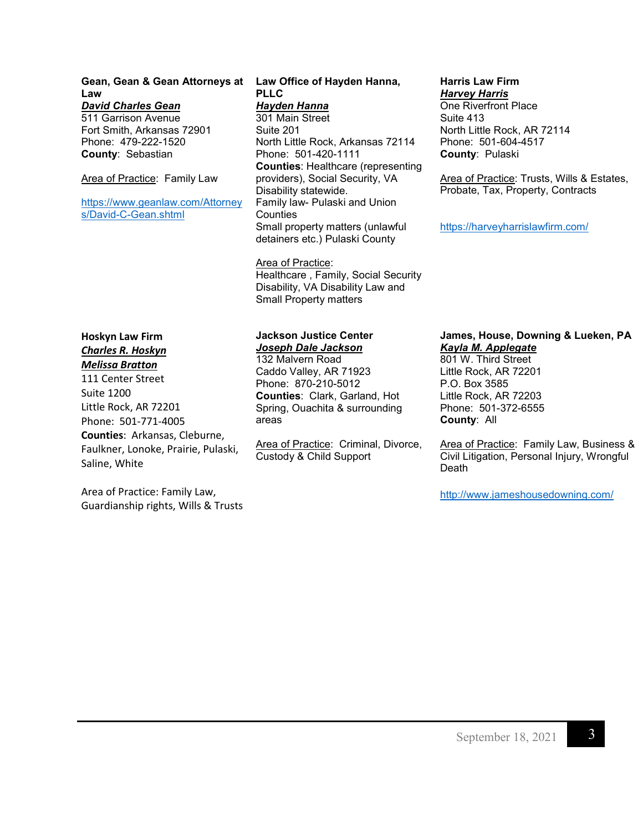#### **Gean, Gean & Gean Attorneys at Law Office of Hayden Hanna, Law**  *David Charles Gean*

511 Garrison Avenue Fort Smith, Arkansas 72901 Phone: 479-222-1520 **County**: Sebastian

Area of Practice: Family Law

[https://www.geanlaw.com/Attorney](https://www.geanlaw.com/Attorneys/David-C-Gean.shtml) [s/David-C-Gean.shtml](https://www.geanlaw.com/Attorneys/David-C-Gean.shtml)

# **PLLC** *Hayden Hanna*

301 Main Street Suite 201 North Little Rock, Arkansas 72114 Phone: 501-420-1111 **Counties**: Healthcare (representing providers), Social Security, VA Disability statewide. Family law- Pulaski and Union **Counties** Small property matters (unlawful detainers etc.) Pulaski County

Area of Practice: Healthcare , Family, Social Security Disability, VA Disability Law and Small Property matters

# **Hoskyn Law Firm** *Charles R. Hoskyn Melissa Bratton*

111 Center Street Suite 1200 Little Rock, AR 72201 Phone: 501-771-4005 **Counties**: Arkansas, Cleburne,

Faulkner, Lonoke, Prairie, Pulaski, Saline, White

Area of Practice: Family Law, Guardianship rights, Wills & Trusts

# **Jackson Justice Center** *Joseph Dale Jackson*

132 Malvern Road Caddo Valley, AR 71923 Phone: 870-210-5012 **Counties**: Clark, Garland, Hot Spring, Ouachita & surrounding areas

Area of Practice: Criminal, Divorce, Custody & Child Support

#### **Harris Law Firm** *Harvey Harris*

One Riverfront Place Suite 413 North Little Rock, AR 72114 Phone: 501-604-4517 **County**: Pulaski

Area of Practice: Trusts, Wills & Estates, Probate, Tax, Property, Contracts

<https://harveyharrislawfirm.com/>

# **James, House, Downing & Lueken, PA** *Kayla M. Applegate*

801 W. Third Street Little Rock, AR 72201 P.O. Box 3585 Little Rock, AR 72203 Phone: 501-372-6555 **County**: All

Area of Practice: Family Law, Business & Civil Litigation, Personal Injury, Wrongful Death

<http://www.jameshousedowning.com/>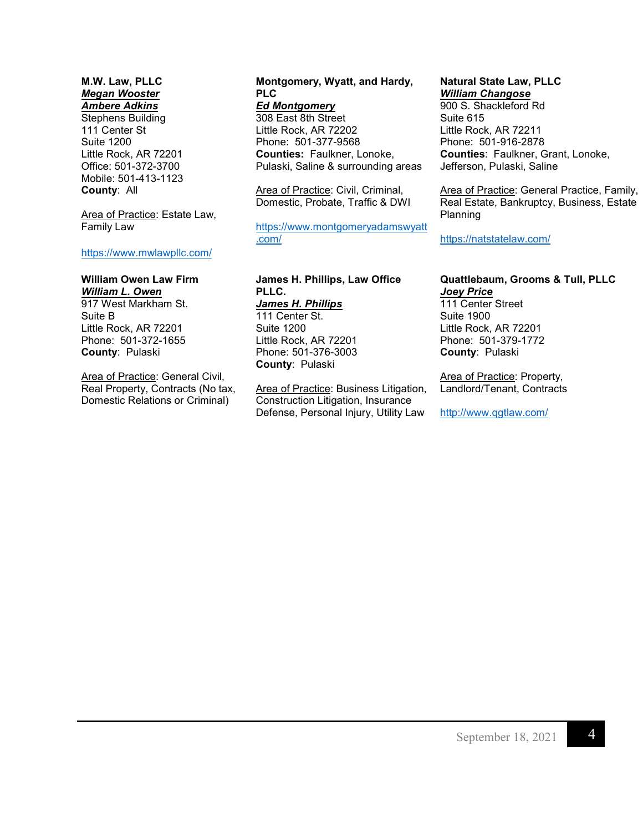## **M.W. Law, PLLC** *Megan Wooster Ambere Adkins*

Stephens Building 111 Center St Suite 1200 Little Rock, AR 72201 Office: 501-372-3700 Mobile: 501-413-1123 **County**: All

Area of Practice: Estate Law, Family Law

#### <https://www.mwlawpllc.com/>

## **William Owen Law Firm** *William L. Owen*

917 West Markham St. Suite B Little Rock, AR 72201 Phone: 501-372-1655 **County**: Pulaski

Area of Practice: General Civil, Real Property, Contracts (No tax, Domestic Relations or Criminal)

# **Montgomery, Wyatt, and Hardy, PLC** *Ed Montgomery* 308 East 8th Street Little Rock, AR 72202

Phone: 501-377-9568 **Counties:** Faulkner, Lonoke, Pulaski, Saline & surrounding areas

Area of Practice: Civil, Criminal, Domestic, Probate, Traffic & DWI

https://www.montgomeryadamswyatt .com/

## **James H. Phillips, Law Office PLLC.** *James H. Phillips* 111 Center St.

Suite 1200 Little Rock, AR 72201 Phone: 501-376-3003 **County**: Pulaski

Area of Practice: Business Litigation, Construction Litigation, Insurance Defense, Personal Injury, Utility Law

## **Natural State Law, PLLC** *William Changose*

900 S. Shackleford Rd Suite 615 Little Rock, AR 72211 Phone: 501-916-2878 **Counties**: Faulkner, Grant, Lonoke, Jefferson, Pulaski, Saline

Area of Practice: General Practice, Family, Real Estate, Bankruptcy, Business, Estate Planning

<https://natstatelaw.com/>

## **Quattlebaum, Grooms & Tull, PLLC**  *Joey Price*

111 Center Street Suite 1900 Little Rock, AR 72201 Phone: 501-379-1772 **County**: Pulaski

Area of Practice: Property, Landlord/Tenant, Contracts

<http://www.qgtlaw.com/>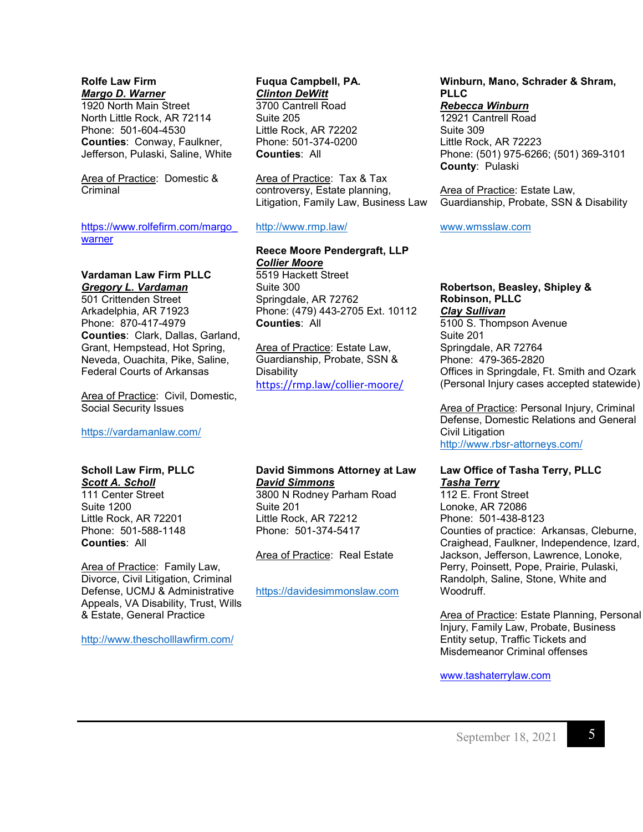#### **Rolfe Law Firm** *Margo D. Warner*

1920 North Main Street North Little Rock, AR 72114 Phone: 501-604-4530 **Counties**: Conway, Faulkner, Jefferson, Pulaski, Saline, White

Area of Practice: Domestic & Criminal

[https://www.rolfefirm.com/margo\\_](https://www.rolfefirm.com/margo_warner) [warner](https://www.rolfefirm.com/margo_warner)

## **Vardaman Law Firm PLLC** *Gregory L. Vardaman*

501 Crittenden Street Arkadelphia, AR 71923 Phone: 870-417-4979 **Counties**: Clark, Dallas, Garland, Grant, Hempstead, Hot Spring, Neveda, Ouachita, Pike, Saline, Federal Courts of Arkansas

Area of Practice: Civil, Domestic, Social Security Issues

<https://vardamanlaw.com/>

# **Scholl Law Firm, PLLC**

*Scott A. Scholl* 111 Center Street Suite 1200 Little Rock, AR 72201 Phone: 501-588-1148 **Counties**: All

Area of Practice: Family Law, Divorce, Civil Litigation, Criminal Defense, UCMJ & Administrative Appeals, VA Disability, Trust, Wills & Estate, General Practice

<http://www.thescholllawfirm.com/>

#### **Fuqua Campbell, PA.** *Clinton DeWitt*

3700 Cantrell Road Suite 205 Little Rock, AR 72202 Phone: 501-374-0200 **Counties**: All

Area of Practice: Tax & Tax controversy, Estate planning, Litigation, Family Law, Business Law

#### http://www.rmp.law/

# **Reece Moore Pendergraft, LLP** *Collier Moore* 5519 Hackett Street Suite 300

Springdale, AR 72762 Phone: (479) 443-2705 Ext. 10112 **Counties**: All

Area of Practice: Estate Law, Guardianship, Probate, SSN & **Disability** <https://rmp.law/collier-moore/>

# **David Simmons Attorney at Law** *David Simmons*

3800 N Rodney Parham Road Suite 201 Little Rock, AR 72212 Phone: 501-374-5417

Area of Practice: Real Estate

https://davidesimmonslaw.com

#### **Winburn, Mano, Schrader & Shram, PLLC** *Rebecca Winburn*

12921 Cantrell Road Suite 309 Little Rock, AR 72223 Phone: (501) 975-6266; (501) 369-3101 **County**: Pulaski

Area of Practice: Estate Law, Guardianship, Probate, SSN & Disability

## [www.wmsslaw.com](http://www.wmsslaw.com/)

#### **Robertson, Beasley, Shipley & Robinson, PLLC**  *Clay Sullivan* 5100 S. Thompson Avenue Suite 201 Springdale, AR 72764 Phone: 479-365-2820 Offices in Springdale, Ft. Smith and Ozark

(Personal Injury cases accepted statewide)

Area of Practice: Personal Injury, Criminal Defense, Domestic Relations and General Civil Litigation <http://www.rbsr-attorneys.com/>

# **Law Office of Tasha Terry, PLLC** *Tasha Terry*

112 E. Front Street Lonoke, AR 72086 Phone: 501-438-8123 Counties of practice: Arkansas, Cleburne, Craighead, Faulkner, Independence, Izard, Jackson, Jefferson, Lawrence, Lonoke, Perry, Poinsett, Pope, Prairie, Pulaski, Randolph, Saline, Stone, White and Woodruff.

Area of Practice: Estate Planning, Personal Injury, Family Law, Probate, Business Entity setup, Traffic Tickets and Misdemeanor Criminal offenses

[www.tashaterrylaw.com](http://www.tashaterrylaw.com/)